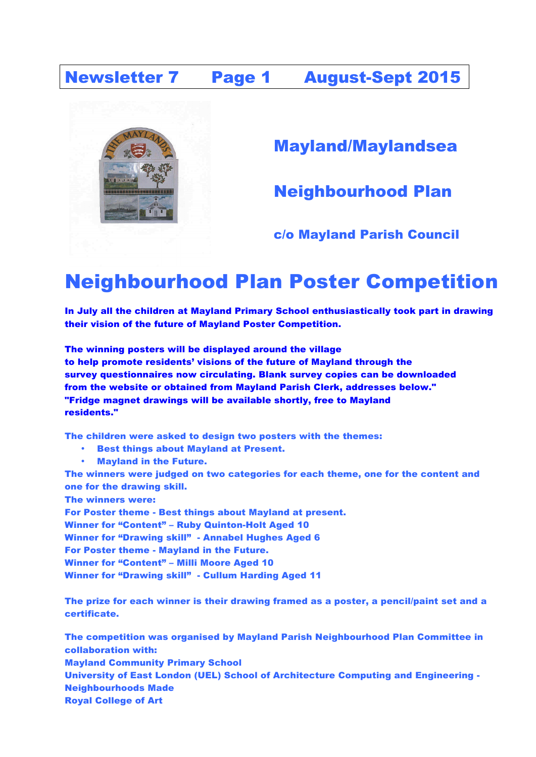### Newsletter 7 Page 1 August-Sept 2015



Mayland/Maylandsea

Neighbourhood Plan

#### c/o Mayland Parish Council

# Neighbourhood Plan Poster Competition

In July all the children at Mayland Primary School enthusiastically took part in drawing their vision of the future of Mayland Poster Competition.

The winning posters will be displayed around the village to help promote residents' visions of the future of Mayland through the survey questionnaires now circulating. Blank survey copies can be downloaded from the website or obtained from Mayland Parish Clerk, addresses below." "Fridge magnet drawings will be available shortly, free to Mayland residents."

The children were asked to design two posters with the themes:

- Best things about Mayland at Present.
- Mayland in the Future.

The winners were judged on two categories for each theme, one for the content and one for the drawing skill.

The winners were:

For Poster theme - Best things about Mayland at present. Winner for "Content" – Ruby Quinton-Holt Aged 10 Winner for "Drawing skill" - Annabel Hughes Aged 6 For Poster theme - Mayland in the Future. Winner for "Content" – Milli Moore Aged 10 Winner for "Drawing skill" - Cullum Harding Aged 11

The prize for each winner is their drawing framed as a poster, a pencil/paint set and a certificate.

The competition was organised by Mayland Parish Neighbourhood Plan Committee in collaboration with: Mayland Community Primary School University of East London (UEL) School of Architecture Computing and Engineering - Neighbourhoods Made Royal College of Art